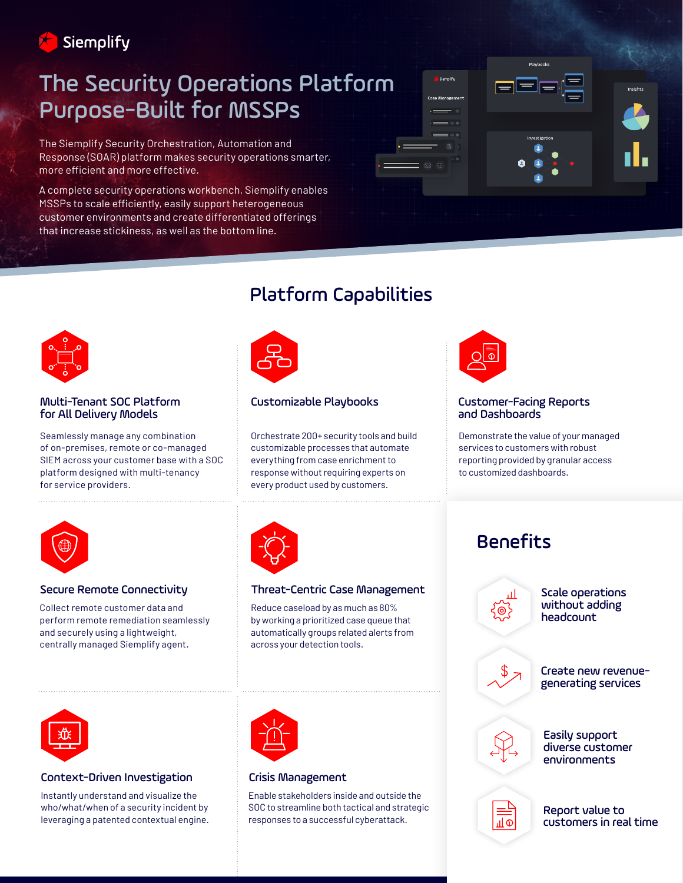

# The Security Operations Platform Purpose-Built for MSSPs

The Siemplify Security Orchestration, Automation and Response (SOAR) platform makes security operations smarter, more efficient and more effective.

A complete security operations workbench, Siemplify enables MSSPs to scale efficiently, easily support heterogeneous customer environments and create differentiated offerings that increase stickiness, as well as the bottom line.





Multi-Tenant SOC Platform for All Delivery Models

Seamlessly manage any combination of on-premises, remote or co-managed SIEM across your customer base with a SOC platform designed with multi-tenancy for service providers.

## Platform Capabilities



### Customizable Playbooks

Orchestrate 200+ security tools and build customizable processes that automate everything from case enrichment to response without requiring experts on every product used by customers.



#### Customer-Facing Reports and Dashboards

Demonstrate the value of your managed services to customers with robust reporting provided by granular access to customized dashboards.



Collect remote customer data and perform remote remediation seamlessly and securely using a lightweight, centrally managed Siemplify agent.

| -- |
|----|
|    |

#### Secure Remote Connectivity Threat-Centric Case Management

Reduce caseload by as much as 80% by working a prioritized case queue that automatically groups related alerts from across your detection tools.



### Context-Driven Investigation

Instantly understand and visualize the who/what/when of a security incident by leveraging a patented contextual engine.



### Crisis Management

Enable stakeholders inside and outside the SOC to streamline both tactical and strategic responses to a successful cyberattack.